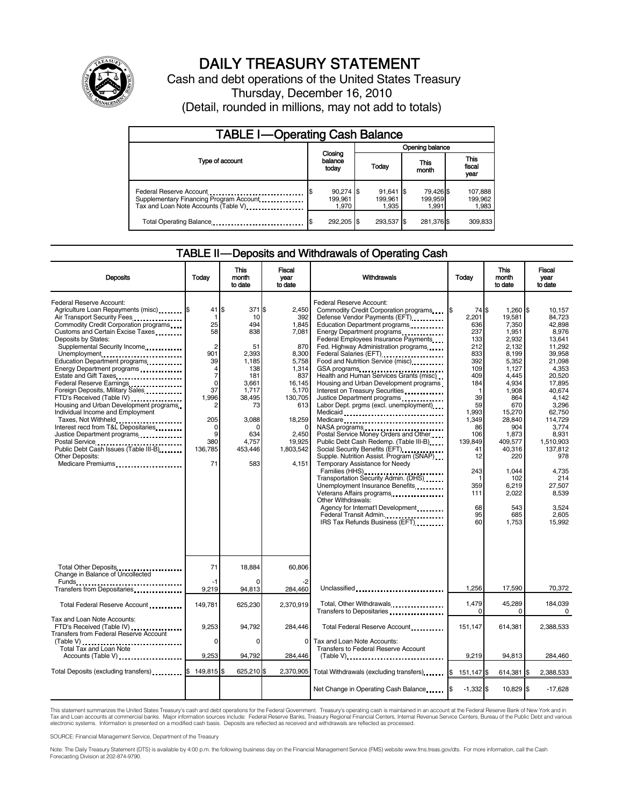

# DAILY TREASURY STATEMENT

Cash and debt operations of the United States Treasury Thursday, December 16, 2010 (Detail, rounded in millions, may not add to totals)

| <b>TABLE I-Operating Cash Balance</b>                                                                      |                                 |                                 |                               |                             |  |
|------------------------------------------------------------------------------------------------------------|---------------------------------|---------------------------------|-------------------------------|-----------------------------|--|
|                                                                                                            |                                 | Opening balance                 |                               |                             |  |
| Type of account                                                                                            | Closing<br>balance<br>today     | Today                           | This<br>month                 | This<br>fiscal<br>year      |  |
| Federal Reserve Account<br>Supplementary Financing Program Account<br>Tax and Loan Note Accounts (Table V) | $90,274$ \$<br>199.961<br>1.970 | $91,641$ \$<br>199.961<br>1.935 | 79,426 \$<br>199,959<br>1.991 | 107,888<br>199,962<br>1,983 |  |
| Total Operating Balance                                                                                    | 292,205 \$                      | 293,537 \$                      | 281,376 \$                    | 309,833                     |  |

#### TABLE II — Deposits and Withdrawals of Operating Cash

| <b>Deposits</b>                                                                                                                                                                                                                                                                                                                                                                                                                                                                                                                                                                                                                                                               | Today                                                                                                                                                         | This<br>month<br>to date                                                                                                                            | Fiscal<br>year<br>to date                                                                                                                                                   | Withdrawals                                                                                                                                                                                                                                                                                                                                                                                                                                                                                                                                                                                                                                                                                                                                                                                                                                                                                                                                                                                                                 | Today                                                                                                                                                                                        | <b>This</b><br>month<br>to date                                                                                                                                                                                                                       | Fiscal<br>year<br>to date                                                                                                                                                                                                                                                 |
|-------------------------------------------------------------------------------------------------------------------------------------------------------------------------------------------------------------------------------------------------------------------------------------------------------------------------------------------------------------------------------------------------------------------------------------------------------------------------------------------------------------------------------------------------------------------------------------------------------------------------------------------------------------------------------|---------------------------------------------------------------------------------------------------------------------------------------------------------------|-----------------------------------------------------------------------------------------------------------------------------------------------------|-----------------------------------------------------------------------------------------------------------------------------------------------------------------------------|-----------------------------------------------------------------------------------------------------------------------------------------------------------------------------------------------------------------------------------------------------------------------------------------------------------------------------------------------------------------------------------------------------------------------------------------------------------------------------------------------------------------------------------------------------------------------------------------------------------------------------------------------------------------------------------------------------------------------------------------------------------------------------------------------------------------------------------------------------------------------------------------------------------------------------------------------------------------------------------------------------------------------------|----------------------------------------------------------------------------------------------------------------------------------------------------------------------------------------------|-------------------------------------------------------------------------------------------------------------------------------------------------------------------------------------------------------------------------------------------------------|---------------------------------------------------------------------------------------------------------------------------------------------------------------------------------------------------------------------------------------------------------------------------|
| Federal Reserve Account:<br>Agriculture Loan Repayments (misc) \$<br>Air Transport Security Fees<br>Commodity Credit Corporation programs<br>Customs and Certain Excise Taxes<br>Deposits by States:<br>Supplemental Security Income<br>Unemployment<br>Education Department programs<br>Energy Department programs<br>Federal Reserve Earnings<br>Foreign Deposits, Military Sales.<br>FTD's Received (Table IV)<br>Housing and Urban Development programs<br>Individual Income and Employment<br>Taxes, Not Withheld<br>Interest recd from T&L Depositaries<br>Justice Department programs<br>Public Debt Cash Issues (Table III-B)<br>Other Deposits:<br>Medicare Premiums | 41<br>-1<br>25<br>58<br>$\overline{2}$<br>901<br>39<br>4<br>$\overline{7}$<br>$\Omega$<br>37<br>1,996<br>2<br>205<br>$\mathbf 0$<br>9<br>380<br>136,785<br>71 | ß.<br>371 \$<br>10<br>494<br>838<br>51<br>2.393<br>1,185<br>138<br>181<br>3,661<br>1,717<br>38,495<br>73<br>3,088<br>634<br>4.757<br>453,446<br>583 | 2.450<br>392<br>1.845<br>7,081<br>870<br>8.300<br>5,758<br>1,314<br>837<br>16,145<br>5,170<br>130,705<br>613<br>18,259<br>$\Omega$<br>2,450<br>19.925<br>1,803,542<br>4.151 | Federal Reserve Account:<br>Commodity Credit Corporation programs<br>Defense Vendor Payments (EFT)<br>Education Department programs<br>Energy Department programs<br>Federal Employees Insurance Payments<br>Fed. Highway Administration programs<br>Federal Salaries (EFT)<br>Federal Salaries (EFT)<br>Food and Nutrition Service (misc)<br>GSA programs<br>Health and Human Services Grants (misc)<br>Housing and Urban Development programs<br>Interest on Treasury Securities<br>Justice Department programs<br>Labor Dept. prgms (excl. unemployment)<br>Medicaid<br>Medicare<br>NASA programs<br>Postal Service Money Orders and Other<br>Public Debt Cash Redemp. (Table III-B)<br>Social Security Benefits (EFT)<br>Supple. Nutrition Assist. Program (SNAP)<br>Temporary Assistance for Needy<br>Families (HHS)<br>Transportation Security Admin. (DHS)<br>Unemployment Insurance Benefits<br>Other Withdrawals:<br>Agency for Internat'l Development<br>Federal Transit Admin.<br>IRS Tax Refunds Business (EFT) | 74 \$<br>2,201<br>636<br>237<br>133<br>212<br>833<br>392<br>109<br>409<br>184<br>-1<br>39<br>59<br>1.993<br>1,349<br>86<br>106<br>139.849<br>41<br>12<br>243<br>359<br>111<br>68<br>95<br>60 | $1,260$ \$<br>19,581<br>7,350<br>1,951<br>2,932<br>2,132<br>8.199<br>5,352<br>1,127<br>4,445<br>4.934<br>1,908<br>864<br>670<br>15,270<br>28,840<br>904<br>1,873<br>409.577<br>40,316<br>220<br>1.044<br>102<br>6,219<br>2,022<br>543<br>685<br>1,753 | 10,157<br>84.723<br>42.898<br>8,976<br>13,641<br>11.292<br>39.958<br>21,098<br>4,353<br>20,520<br>17.895<br>40,674<br>4,142<br>3,296<br>62.750<br>114,729<br>3,774<br>8,931<br>1.510.903<br>137,812<br>978<br>4.735<br>214<br>27,507<br>8,539<br>3,524<br>2.605<br>15,992 |
| Total Other Deposits<br>Change in Balance of Uncollected                                                                                                                                                                                                                                                                                                                                                                                                                                                                                                                                                                                                                      | 71                                                                                                                                                            | 18,884                                                                                                                                              | 60,806                                                                                                                                                                      |                                                                                                                                                                                                                                                                                                                                                                                                                                                                                                                                                                                                                                                                                                                                                                                                                                                                                                                                                                                                                             |                                                                                                                                                                                              |                                                                                                                                                                                                                                                       |                                                                                                                                                                                                                                                                           |
| Transfers from Depositaries                                                                                                                                                                                                                                                                                                                                                                                                                                                                                                                                                                                                                                                   | -1<br>9,219                                                                                                                                                   | 94,813                                                                                                                                              | -2<br>284.460                                                                                                                                                               | Unclassified                                                                                                                                                                                                                                                                                                                                                                                                                                                                                                                                                                                                                                                                                                                                                                                                                                                                                                                                                                                                                | 1.256                                                                                                                                                                                        | 17.590                                                                                                                                                                                                                                                | 70,372                                                                                                                                                                                                                                                                    |
| Total Federal Reserve Account                                                                                                                                                                                                                                                                                                                                                                                                                                                                                                                                                                                                                                                 | 149,781                                                                                                                                                       | 625,230                                                                                                                                             | 2,370,919                                                                                                                                                                   | Total, Other Withdrawals<br>Transfers to Depositaries                                                                                                                                                                                                                                                                                                                                                                                                                                                                                                                                                                                                                                                                                                                                                                                                                                                                                                                                                                       | 1,479<br>$\Omega$                                                                                                                                                                            | 45,289<br>0                                                                                                                                                                                                                                           | 184,039<br>$\Omega$                                                                                                                                                                                                                                                       |
| Tax and Loan Note Accounts:<br>FTD's Received (Table IV)<br>Transfers from Federal Reserve Account                                                                                                                                                                                                                                                                                                                                                                                                                                                                                                                                                                            | 9,253                                                                                                                                                         | 94,792                                                                                                                                              | 284,446                                                                                                                                                                     | Total Federal Reserve Account                                                                                                                                                                                                                                                                                                                                                                                                                                                                                                                                                                                                                                                                                                                                                                                                                                                                                                                                                                                               | 151,147                                                                                                                                                                                      | 614,381                                                                                                                                                                                                                                               | 2,388,533                                                                                                                                                                                                                                                                 |
| (Table V)<br>Total Tax and Loan Note<br>Accounts (Table V)                                                                                                                                                                                                                                                                                                                                                                                                                                                                                                                                                                                                                    | $\Omega$<br>9,253                                                                                                                                             | $\Omega$<br>94,792                                                                                                                                  | $\Omega$<br>284,446                                                                                                                                                         | Tax and Loan Note Accounts:<br>Transfers to Federal Reserve Account<br>$(Table V)$                                                                                                                                                                                                                                                                                                                                                                                                                                                                                                                                                                                                                                                                                                                                                                                                                                                                                                                                          | 9,219                                                                                                                                                                                        | 94,813                                                                                                                                                                                                                                                | 284,460                                                                                                                                                                                                                                                                   |
| Total Deposits (excluding transfers)                                                                                                                                                                                                                                                                                                                                                                                                                                                                                                                                                                                                                                          | 149,815                                                                                                                                                       | 625,210 \$                                                                                                                                          | 2,370,905                                                                                                                                                                   | Total Withdrawals (excluding transfers)                                                                                                                                                                                                                                                                                                                                                                                                                                                                                                                                                                                                                                                                                                                                                                                                                                                                                                                                                                                     | l\$<br>151,147 \$                                                                                                                                                                            | 614,381 \$                                                                                                                                                                                                                                            | 2,388,533                                                                                                                                                                                                                                                                 |
|                                                                                                                                                                                                                                                                                                                                                                                                                                                                                                                                                                                                                                                                               |                                                                                                                                                               |                                                                                                                                                     |                                                                                                                                                                             | Net Change in Operating Cash Balance                                                                                                                                                                                                                                                                                                                                                                                                                                                                                                                                                                                                                                                                                                                                                                                                                                                                                                                                                                                        | $-1.332$ \$                                                                                                                                                                                  | 10,829 \$                                                                                                                                                                                                                                             | $-17,628$                                                                                                                                                                                                                                                                 |

This statement summarizes the United States Treasury's cash and debt operations for the Federal Government. Treasury's operating cash is maintained in an account at the Federal Reserve Bank of New York and in<br>Tax and Loan electronic systems. Information is presented on a modified cash basis. Deposits are reflected as received and withdrawals are reflected as processed.

SOURCE: Financial Management Service, Department of the Treasury

Note: The Daily Treasury Statement (DTS) is available by 4:00 p.m. the following business day on the Financial Management Service (FMS) website www.fms.treas.gov/dts. For more information, call the Cash Forecasting Division at 202-874-9790.